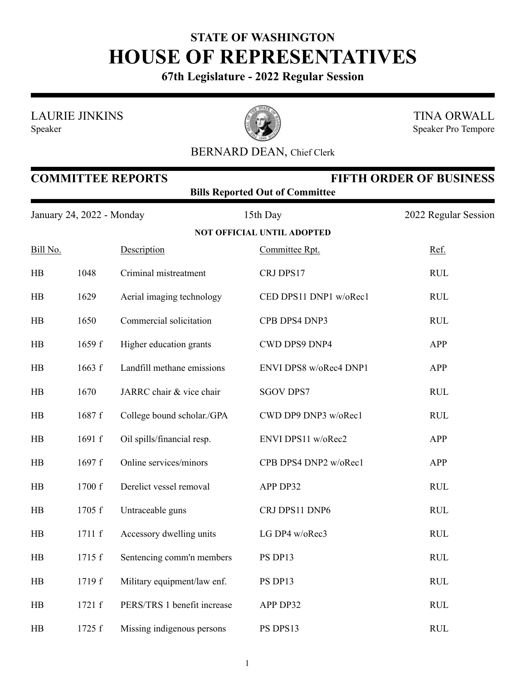## **STATE OF WASHINGTON HOUSE OF REPRESENTATIVES**

**67th Legislature - 2022 Regular Session**

LAURIE JINKINS

Speaker



TINA ORWALL Speaker Pro Tempore

## BERNARD DEAN, Chief Clerk

| <b>FIFTH ORDER OF BUSINESS</b><br><b>COMMITTEE REPORTS</b><br><b>Bills Reported Out of Committee</b> |        |                             |                                   |                      |  |  |
|------------------------------------------------------------------------------------------------------|--------|-----------------------------|-----------------------------------|----------------------|--|--|
| January 24, 2022 - Monday                                                                            |        |                             | 15th Day                          | 2022 Regular Session |  |  |
|                                                                                                      |        |                             | <b>NOT OFFICIAL UNTIL ADOPTED</b> |                      |  |  |
| Bill No.                                                                                             |        | Description                 | Committee Rpt.                    | Ref.                 |  |  |
| HB                                                                                                   | 1048   | Criminal mistreatment       | CRJ DPS17                         | <b>RUL</b>           |  |  |
| HB                                                                                                   | 1629   | Aerial imaging technology   | CED DPS11 DNP1 w/oRec1            | <b>RUL</b>           |  |  |
| HB                                                                                                   | 1650   | Commercial solicitation     | CPB DPS4 DNP3                     | <b>RUL</b>           |  |  |
| HB                                                                                                   | 1659 f | Higher education grants     | CWD DPS9 DNP4                     | APP                  |  |  |
| HB                                                                                                   | 1663 f | Landfill methane emissions  | ENVI DPS8 w/oRec4 DNP1            | APP                  |  |  |
| HB                                                                                                   | 1670   | JARRC chair & vice chair    | <b>SGOV DPS7</b>                  | <b>RUL</b>           |  |  |
| HB                                                                                                   | 1687 f | College bound scholar./GPA  | CWD DP9 DNP3 w/oRec1              | <b>RUL</b>           |  |  |
| HB                                                                                                   | 1691 f | Oil spills/financial resp.  | ENVI DPS11 w/oRec2                | APP                  |  |  |
| HB                                                                                                   | 1697 f | Online services/minors      | CPB DPS4 DNP2 w/oRec1             | APP                  |  |  |
| HB                                                                                                   | 1700 f | Derelict vessel removal     | APP DP32                          | <b>RUL</b>           |  |  |
| HB                                                                                                   | 1705 f | Untraceable guns            | CRJ DPS11 DNP6                    | <b>RUL</b>           |  |  |
| HB                                                                                                   | 1711 f | Accessory dwelling units    | LG DP4 w/oRec3                    | <b>RUL</b>           |  |  |
| HB                                                                                                   | 1715 f | Sentencing comm'n members   | PS DP13                           | <b>RUL</b>           |  |  |
| HB                                                                                                   | 1719 f | Military equipment/law enf. | PS DP13                           | <b>RUL</b>           |  |  |
| HB                                                                                                   | 1721 f | PERS/TRS 1 benefit increase | APP DP32                          | <b>RUL</b>           |  |  |
| HB                                                                                                   | 1725 f | Missing indigenous persons  | PS DPS13                          | <b>RUL</b>           |  |  |